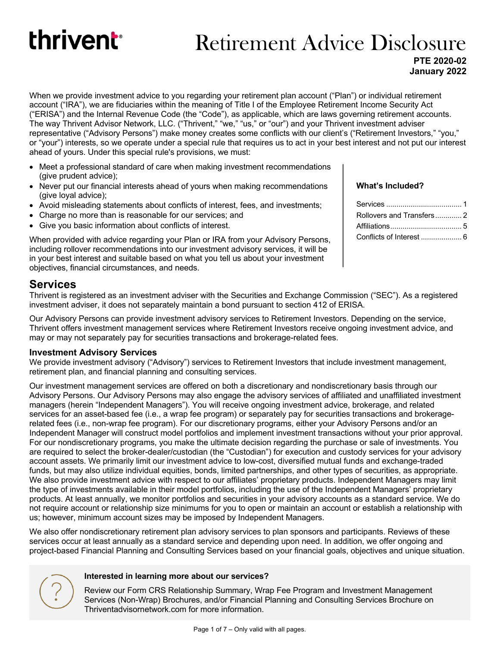# thrivent<sup>®</sup>

# Retirement Advice Disclosure

**PTE 2020-02 January 2022**

When we provide investment advice to you regarding your retirement plan account ("Plan") or individual retirement account ("IRA"), we are fiduciaries within the meaning of Title I of the Employee Retirement Income Security Act ("ERISA") and the Internal Revenue Code (the "Code"), as applicable, which are laws governing retirement accounts. The way Thrivent Advisor Network, LLC. ("Thrivent," "we," "us," or "our") and your Thrivent investment adviser representative ("Advisory Persons") make money creates some conflicts with our client's ("Retirement Investors," "you," or "your") interests, so we operate under a special rule that requires us to act in your best interest and not put our interest ahead of yours. Under this special rule's provisions, we must:

- Meet a professional standard of care when making investment recommendations (give prudent advice);
- Never put our financial interests ahead of yours when making recommendations (give loyal advice);
- Avoid misleading statements about conflicts of interest, fees, and investments;
- Charge no more than is reasonable for our services; and
- Give you basic information about conflicts of interest.

When provided with advice regarding your Plan or IRA from your Advisory Persons, including rollover recommendations into our investment advisory services, it will be in your best interest and suitable based on what you tell us about your investment objectives, financial circumstances, and needs.

#### **Services**

Thrivent is registered as an investment adviser with the Securities and Exchange Commission ("SEC"). As a registered investment adviser, it does not separately maintain a bond pursuant to section 412 of ERISA.

Our Advisory Persons can provide investment advisory services to Retirement Investors. Depending on the service, Thrivent offers investment management services where Retirement Investors receive ongoing investment advice, and may or may not separately pay for securities transactions and brokerage-related fees.

#### **Investment Advisory Services**

We provide investment advisory ("Advisory") services to Retirement Investors that include investment management, retirement plan, and financial planning and consulting services.

Our investment management services are offered on both a discretionary and nondiscretionary basis through our Advisory Persons. Our Advisory Persons may also engage the advisory services of affiliated and unaffiliated investment managers (herein "Independent Managers"). You will receive ongoing investment advice, brokerage, and related services for an asset-based fee (i.e., a wrap fee program) or separately pay for securities transactions and brokeragerelated fees (i.e., non-wrap fee program). For our discretionary programs, either your Advisory Persons and/or an Independent Manager will construct model portfolios and implement investment transactions without your prior approval. For our nondiscretionary programs, you make the ultimate decision regarding the purchase or sale of investments. You are required to select the broker-dealer/custodian (the "Custodian") for execution and custody services for your advisory account assets. We primarily limit our investment advice to low-cost, diversified mutual funds and exchange-traded funds, but may also utilize individual equities, bonds, limited partnerships, and other types of securities, as appropriate. We also provide investment advice with respect to our affiliates' proprietary products. Independent Managers may limit the type of investments available in their model portfolios, including the use of the Independent Managers' proprietary products. At least annually, we monitor portfolios and securities in your advisory accounts as a standard service. We do not require account or relationship size minimums for you to open or maintain an account or establish a relationship with us; however, minimum account sizes may be imposed by Independent Managers.

We also offer nondiscretionary retirement plan advisory services to plan sponsors and participants. Reviews of these services occur at least annually as a standard service and depending upon need. In addition, we offer ongoing and project-based Financial Planning and Consulting Services based on your financial goals, objectives and unique situation.

#### **Interested in learning more about our services?**

Review our Form CRS Relationship Summary, Wrap Fee Program and Investment Management Services (Non-Wrap) Brochures, and/or Financial Planning and Consulting Services Brochure on Thriventadvisornetwork.com for more information.

#### **What's Included?**

| Rollovers and Transfers2 |  |
|--------------------------|--|
|                          |  |
| Conflicts of Interest  6 |  |
|                          |  |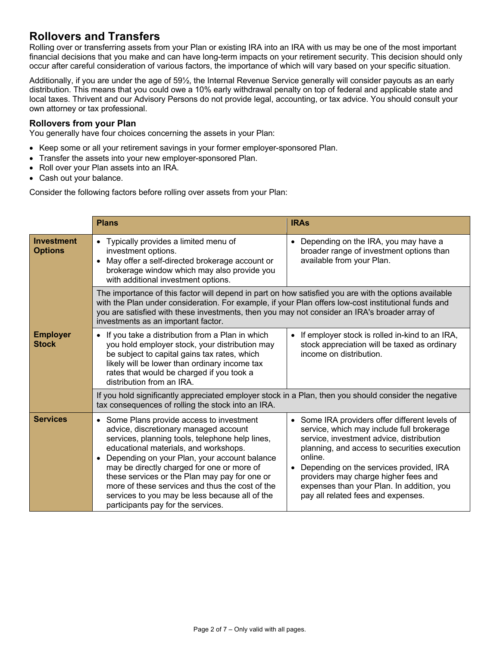### **Rollovers and Transfers**

Rolling over or transferring assets from your Plan or existing IRA into an IRA with us may be one of the most important financial decisions that you make and can have long-term impacts on your retirement security. This decision should only occur after careful consideration of various factors, the importance of which will vary based on your specific situation.

Additionally, if you are under the age of 59½, the Internal Revenue Service generally will consider payouts as an early distribution. This means that you could owe a 10% early withdrawal penalty on top of federal and applicable state and local taxes. Thrivent and our Advisory Persons do not provide legal, accounting, or tax advice. You should consult your own attorney or tax professional.

#### **Rollovers from your Plan**

You generally have four choices concerning the assets in your Plan:

- Keep some or all your retirement savings in your former employer-sponsored Plan.
- Transfer the assets into your new employer-sponsored Plan.
- Roll over your Plan assets into an IRA.
- Cash out your balance.

Consider the following factors before rolling over assets from your Plan:

|                                     | <b>Plans</b>                                                                                                                                                                                                                                                                                                                                                                                                                                                                          | <b>IRAs</b>                                                                                                                                                                                                                                                                                                                                                            |  |
|-------------------------------------|---------------------------------------------------------------------------------------------------------------------------------------------------------------------------------------------------------------------------------------------------------------------------------------------------------------------------------------------------------------------------------------------------------------------------------------------------------------------------------------|------------------------------------------------------------------------------------------------------------------------------------------------------------------------------------------------------------------------------------------------------------------------------------------------------------------------------------------------------------------------|--|
| <b>Investment</b><br><b>Options</b> | • Typically provides a limited menu of<br>investment options.<br>• May offer a self-directed brokerage account or<br>brokerage window which may also provide you<br>with additional investment options.                                                                                                                                                                                                                                                                               | Depending on the IRA, you may have a<br>$\bullet$<br>broader range of investment options than<br>available from your Plan.                                                                                                                                                                                                                                             |  |
|                                     | The importance of this factor will depend in part on how satisfied you are with the options available<br>with the Plan under consideration. For example, if your Plan offers low-cost institutional funds and<br>you are satisfied with these investments, then you may not consider an IRA's broader array of<br>investments as an important factor.                                                                                                                                 |                                                                                                                                                                                                                                                                                                                                                                        |  |
| <b>Employer</b><br><b>Stock</b>     | • If you take a distribution from a Plan in which<br>you hold employer stock, your distribution may<br>be subject to capital gains tax rates, which<br>likely will be lower than ordinary income tax<br>rates that would be charged if you took a<br>distribution from an IRA.                                                                                                                                                                                                        | If employer stock is rolled in-kind to an IRA,<br>$\bullet$<br>stock appreciation will be taxed as ordinary<br>income on distribution.                                                                                                                                                                                                                                 |  |
|                                     | If you hold significantly appreciated employer stock in a Plan, then you should consider the negative<br>tax consequences of rolling the stock into an IRA.                                                                                                                                                                                                                                                                                                                           |                                                                                                                                                                                                                                                                                                                                                                        |  |
| <b>Services</b>                     | • Some Plans provide access to investment<br>advice, discretionary managed account<br>services, planning tools, telephone help lines,<br>educational materials, and workshops.<br>Depending on your Plan, your account balance<br>$\bullet$<br>may be directly charged for one or more of<br>these services or the Plan may pay for one or<br>more of these services and thus the cost of the<br>services to you may be less because all of the<br>participants pay for the services. | Some IRA providers offer different levels of<br>service, which may include full brokerage<br>service, investment advice, distribution<br>planning, and access to securities execution<br>online.<br>Depending on the services provided, IRA<br>providers may charge higher fees and<br>expenses than your Plan. In addition, you<br>pay all related fees and expenses. |  |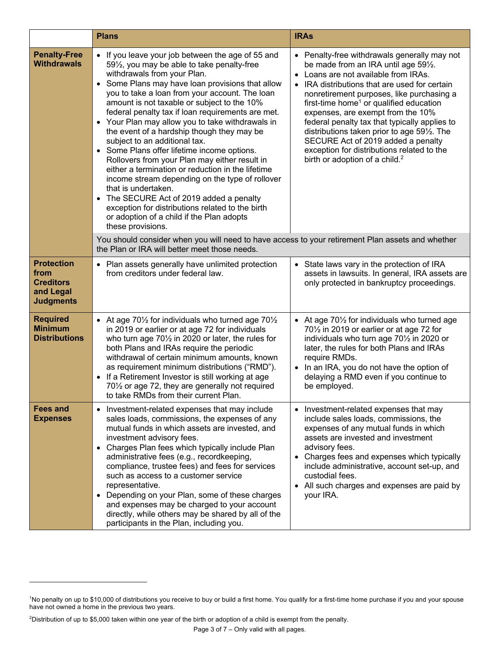|                                                                                | <b>Plans</b>                                                                                                                                                                                                                                                                                                                                                                                                                                                                                                                                                                                                                                                                                                                                                                                                                                                                                                     | <b>IRAs</b>                                                                                                                                                                                                                                                                                                                                                                                                                                                                                                                                                     |
|--------------------------------------------------------------------------------|------------------------------------------------------------------------------------------------------------------------------------------------------------------------------------------------------------------------------------------------------------------------------------------------------------------------------------------------------------------------------------------------------------------------------------------------------------------------------------------------------------------------------------------------------------------------------------------------------------------------------------------------------------------------------------------------------------------------------------------------------------------------------------------------------------------------------------------------------------------------------------------------------------------|-----------------------------------------------------------------------------------------------------------------------------------------------------------------------------------------------------------------------------------------------------------------------------------------------------------------------------------------------------------------------------------------------------------------------------------------------------------------------------------------------------------------------------------------------------------------|
| <b>Penalty-Free</b><br><b>Withdrawals</b>                                      | • If you leave your job between the age of 55 and<br>591/ <sub>2</sub> , you may be able to take penalty-free<br>withdrawals from your Plan.<br>• Some Plans may have loan provisions that allow<br>you to take a loan from your account. The loan<br>amount is not taxable or subject to the 10%<br>federal penalty tax if loan requirements are met.<br>Your Plan may allow you to take withdrawals in<br>$\bullet$<br>the event of a hardship though they may be<br>subject to an additional tax.<br>Some Plans offer lifetime income options.<br>$\bullet$<br>Rollovers from your Plan may either result in<br>either a termination or reduction in the lifetime<br>income stream depending on the type of rollover<br>that is undertaken.<br>• The SECURE Act of 2019 added a penalty<br>exception for distributions related to the birth<br>or adoption of a child if the Plan adopts<br>these provisions. | Penalty-free withdrawals generally may not<br>be made from an IRA until age 591/2.<br>Loans are not available from IRAs.<br>$\bullet$<br>IRA distributions that are used for certain<br>nonretirement purposes, like purchasing a<br>first-time home <sup>1</sup> or qualified education<br>expenses, are exempt from the 10%<br>federal penalty tax that typically applies to<br>distributions taken prior to age 591/2. The<br>SECURE Act of 2019 added a penalty<br>exception for distributions related to the<br>birth or adoption of a child. <sup>2</sup> |
|                                                                                | You should consider when you will need to have access to your retirement Plan assets and whether<br>the Plan or IRA will better meet those needs.                                                                                                                                                                                                                                                                                                                                                                                                                                                                                                                                                                                                                                                                                                                                                                |                                                                                                                                                                                                                                                                                                                                                                                                                                                                                                                                                                 |
| <b>Protection</b><br>from<br><b>Creditors</b><br>and Legal<br><b>Judgments</b> | • Plan assets generally have unlimited protection<br>from creditors under federal law.                                                                                                                                                                                                                                                                                                                                                                                                                                                                                                                                                                                                                                                                                                                                                                                                                           | • State laws vary in the protection of IRA<br>assets in lawsuits. In general, IRA assets are<br>only protected in bankruptcy proceedings.                                                                                                                                                                                                                                                                                                                                                                                                                       |
| <b>Required</b><br><b>Minimum</b><br><b>Distributions</b>                      | • At age $70\frac{1}{2}$ for individuals who turned age $70\frac{1}{2}$<br>in 2019 or earlier or at age 72 for individuals<br>who turn age $70\frac{1}{2}$ in 2020 or later, the rules for<br>both Plans and IRAs require the periodic<br>withdrawal of certain minimum amounts, known<br>as requirement minimum distributions ("RMD").<br>If a Retirement Investor is still working at age<br>$\bullet$<br>701/2 or age 72, they are generally not required<br>to take RMDs from their current Plan.                                                                                                                                                                                                                                                                                                                                                                                                            | • At age 701/2 for individuals who turned age<br>701/2 in 2019 or earlier or at age 72 for<br>individuals who turn age 701/2 in 2020 or<br>later, the rules for both Plans and IRAs<br>require RMDs.<br>In an IRA, you do not have the option of<br>delaying a RMD even if you continue to<br>be employed.                                                                                                                                                                                                                                                      |
| <b>Fees and</b><br><b>Expenses</b>                                             | • Investment-related expenses that may include<br>sales loads, commissions, the expenses of any<br>mutual funds in which assets are invested, and<br>investment advisory fees.<br>• Charges Plan fees which typically include Plan<br>administrative fees (e.g., recordkeeping,<br>compliance, trustee fees) and fees for services<br>such as access to a customer service<br>representative.<br>• Depending on your Plan, some of these charges<br>and expenses may be charged to your account<br>directly, while others may be shared by all of the<br>participants in the Plan, including you.                                                                                                                                                                                                                                                                                                                | Investment-related expenses that may<br>$\bullet$<br>include sales loads, commissions, the<br>expenses of any mutual funds in which<br>assets are invested and investment<br>advisory fees.<br>Charges fees and expenses which typically<br>include administrative, account set-up, and<br>custodial fees.<br>• All such charges and expenses are paid by<br>your IRA.                                                                                                                                                                                          |

2 Distribution of up to \$5,000 taken within one year of the birth or adoption of a child is exempt from the penalty.

<sup>1</sup> No penalty on up to \$10,000 of distributions you receive to buy or build a first home. You qualify for a first-time home purchase if you and your spouse have not owned a home in the previous two years.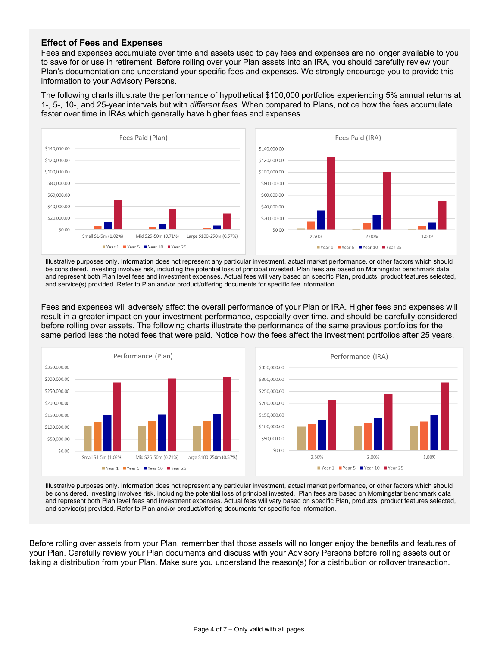#### **Effect of Fees and Expenses**

Fees and expenses accumulate over time and assets used to pay fees and expenses are no longer available to you to save for or use in retirement. Before rolling over your Plan assets into an IRA, you should carefully review your Plan's documentation and understand your specific fees and expenses. We strongly encourage you to provide this information to your Advisory Persons.

The following charts illustrate the performance of hypothetical \$100,000 portfolios experiencing 5% annual returns at 1-, 5-, 10-, and 25-year intervals but with *different fees*. When compared to Plans, notice how the fees accumulate faster over time in IRAs which generally have higher fees and expenses.



Illustrative purposes only. Information does not represent any particular investment, actual market performance, or other factors which should be considered. Investing involves risk, including the potential loss of principal invested. Plan fees are based on Morningstar benchmark data and represent both Plan level fees and investment expenses. Actual fees will vary based on specific Plan, products, product features selected, and service(s) provided. Refer to Plan and/or product/offering documents for specific fee information.

Fees and expenses will adversely affect the overall performance of your Plan or IRA. Higher fees and expenses will result in a greater impact on your investment performance, especially over time, and should be carefully considered before rolling over assets. The following charts illustrate the performance of the same previous portfolios for the same period less the noted fees that were paid. Notice how the fees affect the investment portfolios after 25 years.



Illustrative purposes only. Information does not represent any particular investment, actual market performance, or other factors which should be considered. Investing involves risk, including the potential loss of principal invested. Plan fees are based on Morningstar benchmark data and represent both Plan level fees and investment expenses. Actual fees will vary based on specific Plan, products, product features selected, and service(s) provided. Refer to Plan and/or product/offering documents for specific fee information.

Before rolling over assets from your Plan, remember that those assets will no longer enjoy the benefits and features of your Plan. Carefully review your Plan documents and discuss with your Advisory Persons before rolling assets out or taking a distribution from your Plan. Make sure you understand the reason(s) for a distribution or rollover transaction.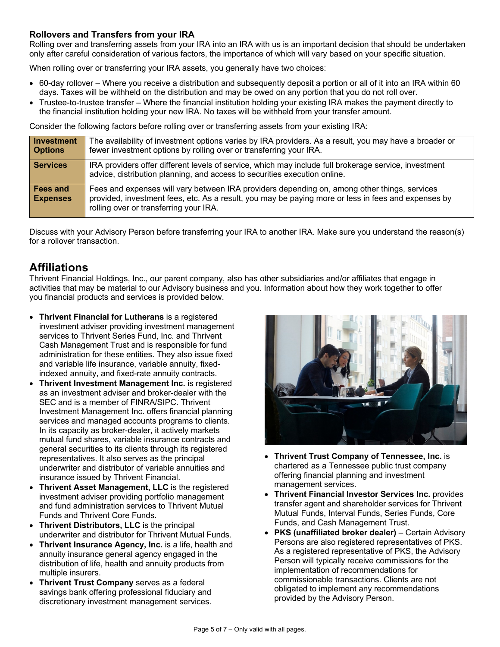#### **Rollovers and Transfers from your IRA**

Rolling over and transferring assets from your IRA into an IRA with us is an important decision that should be undertaken only after careful consideration of various factors, the importance of which will vary based on your specific situation.

When rolling over or transferring your IRA assets, you generally have two choices:

- 60-day rollover Where you receive a distribution and subsequently deposit a portion or all of it into an IRA within 60 days. Taxes will be withheld on the distribution and may be owed on any portion that you do not roll over.
- Trustee-to-trustee transfer Where the financial institution holding your existing IRA makes the payment directly to the financial institution holding your new IRA. No taxes will be withheld from your transfer amount.

Consider the following factors before rolling over or transferring assets from your existing IRA:

| <b>Investment</b><br><b>Options</b> | The availability of investment options varies by IRA providers. As a result, you may have a broader or<br>fewer investment options by rolling over or transferring your IRA.                                                                  |
|-------------------------------------|-----------------------------------------------------------------------------------------------------------------------------------------------------------------------------------------------------------------------------------------------|
| <b>Services</b>                     | IRA providers offer different levels of service, which may include full brokerage service, investment<br>advice, distribution planning, and access to securities execution online.                                                            |
| Fees and<br><b>Expenses</b>         | Fees and expenses will vary between IRA providers depending on, among other things, services<br>provided, investment fees, etc. As a result, you may be paying more or less in fees and expenses by<br>rolling over or transferring your IRA. |

Discuss with your Advisory Person before transferring your IRA to another IRA. Make sure you understand the reason(s) for a rollover transaction.

### **Affiliations**

Thrivent Financial Holdings, Inc., our parent company, also has other subsidiaries and/or affiliates that engage in activities that may be material to our Advisory business and you. Information about how they work together to offer you financial products and services is provided below.

- **Thrivent Financial for Lutherans** is a registered investment adviser providing investment management services to Thrivent Series Fund, Inc. and Thrivent Cash Management Trust and is responsible for fund administration for these entities. They also issue fixed and variable life insurance, variable annuity, fixedindexed annuity, and fixed-rate annuity contracts.
- **Thrivent Investment Management Inc.** is registered as an investment adviser and broker-dealer with the SEC and is a member of FINRA/SIPC. Thrivent Investment Management Inc. offers financial planning services and managed accounts programs to clients. In its capacity as broker-dealer, it actively markets mutual fund shares, variable insurance contracts and general securities to its clients through its registered representatives. It also serves as the principal underwriter and distributor of variable annuities and insurance issued by Thrivent Financial.
- **Thrivent Asset Management, LLC** is the registered investment adviser providing portfolio management and fund administration services to Thrivent Mutual Funds and Thrivent Core Funds.
- **Thrivent Distributors, LLC** is the principal underwriter and distributor for Thrivent Mutual Funds.
- **Thrivent Insurance Agency, Inc.** is a life, health and annuity insurance general agency engaged in the distribution of life, health and annuity products from multiple insurers.
- **Thrivent Trust Company** serves as a federal savings bank offering professional fiduciary and discretionary investment management services.



- **Thrivent Trust Company of Tennessee, Inc.** is chartered as a Tennessee public trust company offering financial planning and investment management services.
- **Thrivent Financial Investor Services Inc.** provides transfer agent and shareholder services for Thrivent Mutual Funds, Interval Funds, Series Funds, Core Funds, and Cash Management Trust.
- **PKS (unaffiliated broker dealer)**  Certain Advisory Persons are also registered representatives of PKS. As a registered representative of PKS, the Advisory Person will typically receive commissions for the implementation of recommendations for commissionable transactions. Clients are not obligated to implement any recommendations provided by the Advisory Person.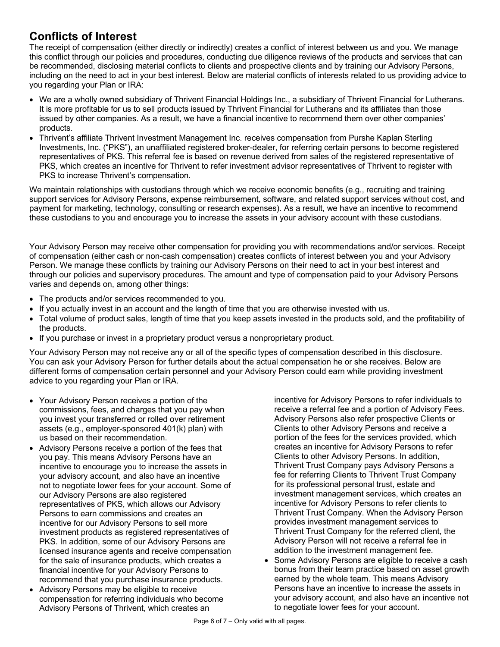## **Conflicts of Interest**

The receipt of compensation (either directly or indirectly) creates a conflict of interest between us and you. We manage this conflict through our policies and procedures, conducting due diligence reviews of the products and services that can be recommended, disclosing material conflicts to clients and prospective clients and by training our Advisory Persons, including on the need to act in your best interest. Below are material conflicts of interests related to us providing advice to you regarding your Plan or IRA:

- We are a wholly owned subsidiary of Thrivent Financial Holdings Inc., a subsidiary of Thrivent Financial for Lutherans. It is more profitable for us to sell products issued by Thrivent Financial for Lutherans and its affiliates than those issued by other companies. As a result, we have a financial incentive to recommend them over other companies' products.
- Thrivent's affiliate Thrivent Investment Management Inc. receives compensation from Purshe Kaplan Sterling Investments, Inc. ("PKS"), an unaffiliated registered broker-dealer, for referring certain persons to become registered representatives of PKS. This referral fee is based on revenue derived from sales of the registered representative of PKS, which creates an incentive for Thrivent to refer investment advisor representatives of Thrivent to register with PKS to increase Thrivent's compensation.

We maintain relationships with custodians through which we receive economic benefits (e.g., recruiting and training support services for Advisory Persons, expense reimbursement, software, and related support services without cost, and payment for marketing, technology, consulting or research expenses). As a result, we have an incentive to recommend these custodians to you and encourage you to increase the assets in your advisory account with these custodians.

Your Advisory Person may receive other compensation for providing you with recommendations and/or services. Receipt of compensation (either cash or non-cash compensation) creates conflicts of interest between you and your Advisory Person. We manage these conflicts by training our Advisory Persons on their need to act in your best interest and through our policies and supervisory procedures. The amount and type of compensation paid to your Advisory Persons varies and depends on, among other things:

- The products and/or services recommended to you.
- If you actually invest in an account and the length of time that you are otherwise invested with us.
- Total volume of product sales, length of time that you keep assets invested in the products sold, and the profitability of the products.
- If you purchase or invest in a proprietary product versus a nonproprietary product.

Your Advisory Person may not receive any or all of the specific types of compensation described in this disclosure. You can ask your Advisory Person for further details about the actual compensation he or she receives. Below are different forms of compensation certain personnel and your Advisory Person could earn while providing investment advice to you regarding your Plan or IRA.

- Your Advisory Person receives a portion of the commissions, fees, and charges that you pay when you invest your transferred or rolled over retirement assets (e.g., employer-sponsored 401(k) plan) with us based on their recommendation.
- Advisory Persons receive a portion of the fees that you pay. This means Advisory Persons have an incentive to encourage you to increase the assets in your advisory account, and also have an incentive not to negotiate lower fees for your account. Some of our Advisory Persons are also registered representatives of PKS, which allows our Advisory Persons to earn commissions and creates an incentive for our Advisory Persons to sell more investment products as registered representatives of PKS. In addition, some of our Advisory Persons are licensed insurance agents and receive compensation for the sale of insurance products, which creates a financial incentive for your Advisory Persons to recommend that you purchase insurance products.
- Advisory Persons may be eligible to receive compensation for referring individuals who become Advisory Persons of Thrivent, which creates an

incentive for Advisory Persons to refer individuals to receive a referral fee and a portion of Advisory Fees. Advisory Persons also refer prospective Clients or Clients to other Advisory Persons and receive a portion of the fees for the services provided, which creates an incentive for Advisory Persons to refer Clients to other Advisory Persons. In addition, Thrivent Trust Company pays Advisory Persons a fee for referring Clients to Thrivent Trust Company for its professional personal trust, estate and investment management services, which creates an incentive for Advisory Persons to refer clients to Thrivent Trust Company. When the Advisory Person provides investment management services to Thrivent Trust Company for the referred client, the Advisory Person will not receive a referral fee in addition to the investment management fee.

• Some Advisory Persons are eligible to receive a cash bonus from their team practice based on asset growth earned by the whole team. This means Advisory Persons have an incentive to increase the assets in your advisory account, and also have an incentive not to negotiate lower fees for your account.